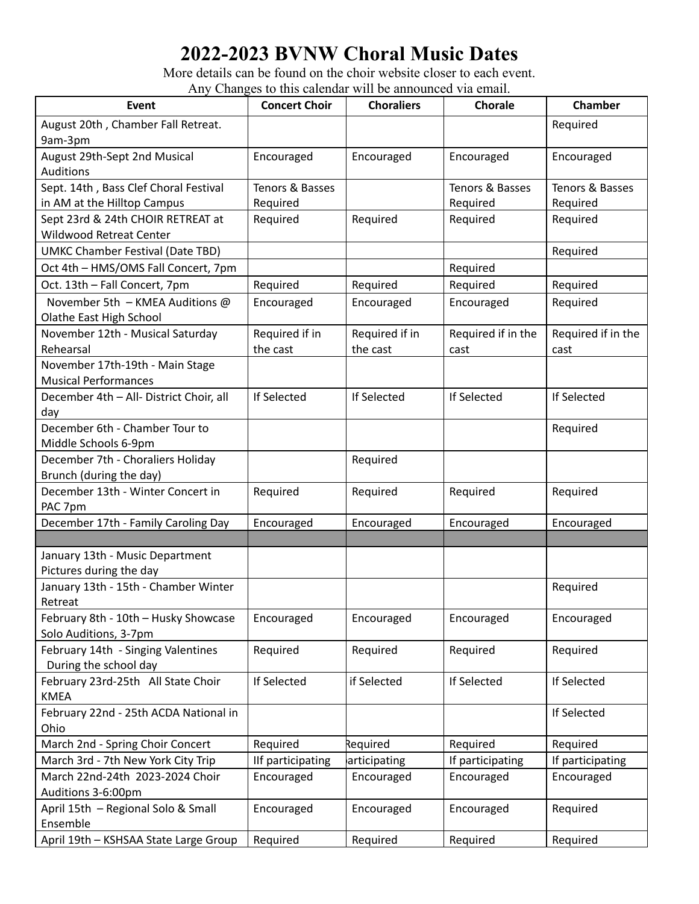## **2022-2023 BVNW Choral Music Dates**

More details can be found on the choir website closer to each event. Any Changes to this calendar will be announced via email.

| Event                                                      | <b>Concert Choir</b> | <b>Choraliers</b> | <b>Chorale</b>     | <b>Chamber</b>     |
|------------------------------------------------------------|----------------------|-------------------|--------------------|--------------------|
| August 20th, Chamber Fall Retreat.                         |                      |                   |                    | Required           |
| 9am-3pm                                                    |                      |                   |                    |                    |
| August 29th-Sept 2nd Musical                               | Encouraged           | Encouraged        | Encouraged         | Encouraged         |
| <b>Auditions</b>                                           |                      |                   |                    |                    |
| Sept. 14th, Bass Clef Choral Festival                      | Tenors & Basses      |                   | Tenors & Basses    | Tenors & Basses    |
| in AM at the Hilltop Campus                                | Required             |                   | Required           | Required           |
| Sept 23rd & 24th CHOIR RETREAT at                          | Required             | Required          | Required           | Required           |
| <b>Wildwood Retreat Center</b>                             |                      |                   |                    |                    |
| <b>UMKC Chamber Festival (Date TBD)</b>                    |                      |                   |                    | Required           |
| Oct 4th - HMS/OMS Fall Concert, 7pm                        |                      |                   | Required           |                    |
| Oct. 13th - Fall Concert, 7pm                              | Required             | Required          | Required           | Required           |
| November 5th - KMEA Auditions @<br>Olathe East High School | Encouraged           | Encouraged        | Encouraged         | Required           |
| November 12th - Musical Saturday                           | Required if in       | Required if in    | Required if in the | Required if in the |
| Rehearsal                                                  | the cast             | the cast          | cast               | cast               |
| November 17th-19th - Main Stage                            |                      |                   |                    |                    |
| <b>Musical Performances</b>                                |                      |                   |                    |                    |
| December 4th - All- District Choir, all                    | If Selected          | If Selected       | If Selected        | <b>If Selected</b> |
| day                                                        |                      |                   |                    |                    |
| December 6th - Chamber Tour to<br>Middle Schools 6-9pm     |                      |                   |                    | Required           |
| December 7th - Choraliers Holiday                          |                      | Required          |                    |                    |
| Brunch (during the day)                                    |                      |                   |                    |                    |
| December 13th - Winter Concert in                          | Required             | Required          | Required           | Required           |
| PAC 7pm                                                    |                      |                   |                    |                    |
| December 17th - Family Caroling Day                        | Encouraged           | Encouraged        | Encouraged         | Encouraged         |
|                                                            |                      |                   |                    |                    |
| January 13th - Music Department                            |                      |                   |                    |                    |
| Pictures during the day                                    |                      |                   |                    |                    |
| January 13th - 15th - Chamber Winter                       |                      |                   |                    | Required           |
| Retreat                                                    |                      |                   |                    |                    |
| February 8th - 10th - Husky Showcase                       | Encouraged           | Encouraged        | Encouraged         | Encouraged         |
| Solo Auditions, 3-7pm                                      |                      |                   |                    |                    |
| February 14th - Singing Valentines                         | Required             | Required          | Required           | Required           |
| During the school day                                      |                      |                   |                    |                    |
| February 23rd-25th All State Choir<br><b>KMEA</b>          | If Selected          | if Selected       | If Selected        | If Selected        |
| February 22nd - 25th ACDA National in                      |                      |                   |                    | If Selected        |
| Ohio                                                       |                      |                   |                    |                    |
| March 2nd - Spring Choir Concert                           | Required             | Required          | Required           | Required           |
| March 3rd - 7th New York City Trip                         | IIf participating    | articipating      | If participating   | If participating   |
| March 22nd-24th 2023-2024 Choir                            | Encouraged           | Encouraged        | Encouraged         | Encouraged         |
| Auditions 3-6:00pm                                         |                      |                   |                    |                    |
| April 15th - Regional Solo & Small                         | Encouraged           | Encouraged        | Encouraged         | Required           |
| Ensemble                                                   |                      |                   |                    |                    |
| April 19th - KSHSAA State Large Group                      | Required             | Required          | Required           | Required           |